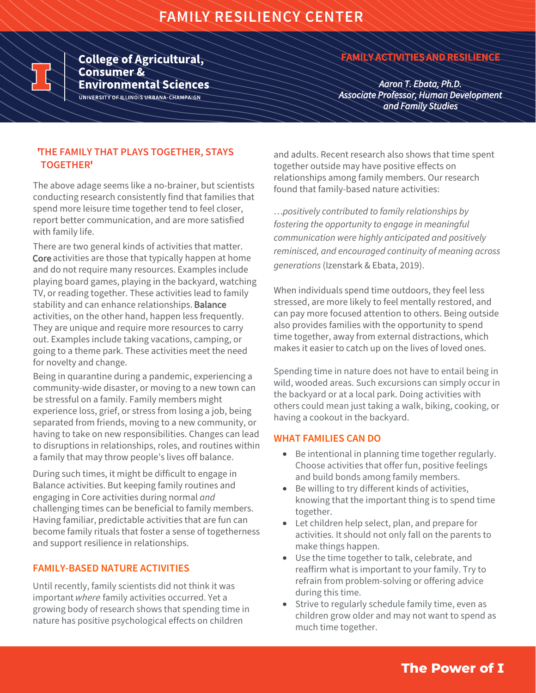

**College of Agricultural, Consumer & Environmental Sciences** UNIVERSITY OF ILLINOIS URBANA-CHAMPAIGN

# **FAMILY ACTIVITIES AND RESILIENCE**

*Aaron T. Ebata, Ph.D. Associate Professor, Human Development and Family Studies*

## **'THE FAMILY THAT PLAYS TOGETHER, STAYS TOGETHER '**

The above adage seems like a no-brainer, but scientists conducting research consistently find that families that spend more leisure time together tend to feel closer, report better communication, and are more satisfied with family life.

There are two general kinds of activities that matter. Core activities are those that typically happen at home and do not require many resources. Examples include playing board games, playing in the backyard, watching TV, or reading together. These activities lead to family stability and can enhance relationships. Balance activities, on the other hand, happen less frequently. They are unique and require more resources to carry out. Examples include taking vacations, camping, or going to a theme park. These activities meet the need for novelty and change.

Being in quarantine during a pandemic, experiencing a community-wide disaster, or moving to a new town can be stressful on a family. Family members might experience loss, grief, or stress from losing a job, being separated from friends, moving to a new community, or having to take on new responsibilities. Changes can lead to disruptions in relationships, roles, and routines within a family that may throw people's lives off balance.

During such times, it might be difficult to engage in Balance activities. But keeping family routines and engaging in Core activities during normal *and* challenging times can be beneficial to family members. Having familiar, predictable activities that are fun can become family rituals that foster a sense of togetherness and support resilience in relationships.

## **FAMILY-BASED NATURE ACTIVITIES**

Until recently, family scientists did not think it was important where family activities occurred. Yet a growing body of research shows that spending time in nature has positive psychological effects on children

and adults. Recent research also shows that time spent together outside may have positive effects on relationships among family members. Our research found that family-based nature activities:

…*positively contributed to family relationships by fostering the opportunity to engage in meaningful communication were highly anticipated and positively reminisced, and encouraged continuity of meaning across generations* (Izenstark & Ebata, 2019).

When individuals spend time outdoors, they feel less stressed, are more likely to feel mentally restored, and can pay more focused attention to others. Being outside also provides families with the opportunity to spend time together, away from external distractions, which makes it easier to catch up on the lives of loved ones.

Spending time in nature does not have to entail being in wild, wooded areas. Such excursions can simply occur in the backyard or at a local park. Doing activities with others could mean just taking a walk, biking, cooking, or having a cookout in the backyard.

#### **WHAT FAMILIES CAN DO**

- Be intentional in planning time together regularly. Choose activities that offer fun, positive feelings and build bonds among family members.
- Be willing to try different kinds of activities, knowing that the important thing is to spend time together.
- Let children help select, plan, and prepare for activities. It should not only fall on the parents to make things happen.
- Use the time together to talk, celebrate, and reaffirm what is important to your family. Try to refrain from problem-solving or offering advice during this time.
- Strive to regularly schedule family time, even as children grow older and may not want to spend as much time together.